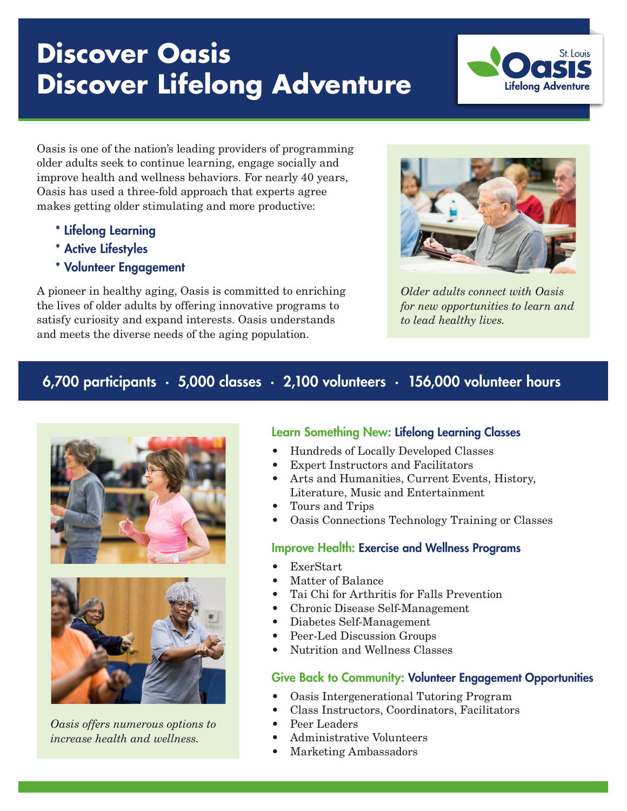# **Discover Oasis Discover Lifelong Adventure**



Oasis is one of the nation's leading providers of programming older adults seek to continue learning, engage socially and improve health and wellness behaviors. For nearly 40 years, Oasis has used a three-fold approach that experts agree makes getting older stimulating and more productive:

- \* Lifelong Learning
- \* Active Lifestyles
- \* Volunteer Engagement

A pioneer in healthy aging, Oasis is committed to enriching the lives of older adults by offering innovative programs to satisfy curiosity and expand interests. Oasis understands and meets the diverse needs of the aging population.



*Older adults connect with Oasis for new opportunities to learn and to lead healthy lives.*

# 6,700 participants ∙ 5,000 classes ∙ 2,100 volunteers ∙ 156,000 volunteer hours





*Oasis offers numerous options to increase health and wellness.*

# Learn Something New: Lifelong Learning Classes

- Hundreds of Locally Developed Classes
- Expert Instructors and Facilitators
- Arts and Humanities, Current Events, History, Literature, Music and Entertainment
- Tours and Trips
- Oasis Connections Technology Training or Classes

#### Improve Health: Exercise and Wellness Programs

- ExerStart
- Matter of Balance
- Tai Chi for Arthritis for Falls Prevention
- Chronic Disease Self-Management
- Diabetes Self-Management
- Peer-Led Discussion Groups
- Nutrition and Wellness Classes

# Give Back to Community: Volunteer Engagement Opportunities

- Oasis Intergenerational Tutoring Program
- Class Instructors, Coordinators, Facilitators
- Peer Leaders
- Administrative Volunteers
- Marketing Ambassadors